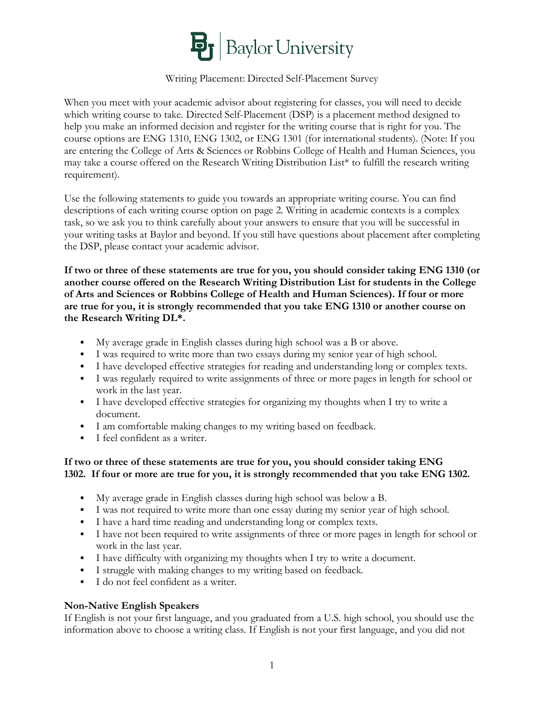

# Writing Placement: Directed Self-Placement Survey

When you meet with your academic advisor about registering for classes, you will need to decide which writing course to take. Directed Self-Placement (DSP) is a placement method designed to help you make an informed decision and register for the writing course that is right for you. The course options are ENG 1310, ENG 1302, or ENG 1301 (for international students). (Note: If you are entering the College of Arts & Sciences or Robbins College of Health and Human Sciences, you may take a course offered on the Research Writing Distribution List\* to fulfill the research writing requirement).

Use the following statements to guide you towards an appropriate writing course. You can find descriptions of each writing course option on page 2. Writing in academic contexts is a complex task, so we ask you to think carefully about your answers to ensure that you will be successful in your writing tasks at Baylor and beyond. If you still have questions about placement after completing the DSP, please contact your academic advisor.

**If two or three of these statements are true for you, you should consider taking ENG 1310 (or another course offered on the Research Writing Distribution List for students in the College of Arts and Sciences or Robbins College of Health and Human Sciences). If four or more are true for you, it is strongly recommended that you take ENG 1310 or another course on the Research Writing DL\*.**

- § My average grade in English classes during high school was a B or above.
- § I was required to write more than two essays during my senior year of high school.
- § I have developed effective strategies for reading and understanding long or complex texts.
- § I was regularly required to write assignments of three or more pages in length for school or work in the last year.
- I have developed effective strategies for organizing my thoughts when I try to write a document.
- § I am comfortable making changes to my writing based on feedback.
- § I feel confident as a writer.

## **If two or three of these statements are true for you, you should consider taking ENG 1302. If four or more are true for you, it is strongly recommended that you take ENG 1302.**

- § My average grade in English classes during high school was below a B.
- § I was not required to write more than one essay during my senior year of high school.
- § I have a hard time reading and understanding long or complex texts.
- § I have not been required to write assignments of three or more pages in length for school or work in the last year.
- § I have difficulty with organizing my thoughts when I try to write a document.
- § I struggle with making changes to my writing based on feedback.
- I do not feel confident as a writer.

## **Non-Native English Speakers**

If English is not your first language, and you graduated from a U.S. high school, you should use the information above to choose a writing class. If English is not your first language, and you did not